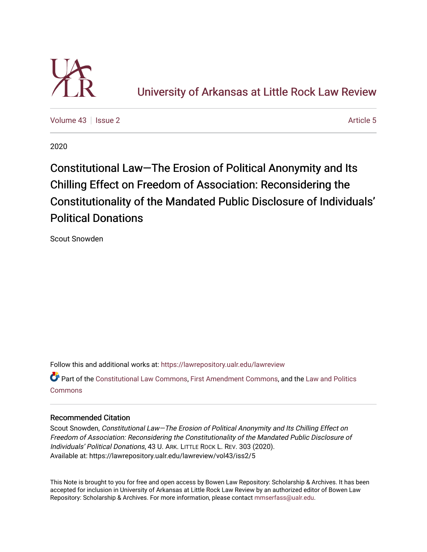

# [University of Arkansas at Little Rock Law Review](https://lawrepository.ualr.edu/lawreview)

[Volume 43](https://lawrepository.ualr.edu/lawreview/vol43) | [Issue 2](https://lawrepository.ualr.edu/lawreview/vol43/iss2) Article 5

2020

Constitutional Law—The Erosion of Political Anonymity and Its Chilling Effect on Freedom of Association: Reconsidering the Constitutionality of the Mandated Public Disclosure of Individuals' Political Donations

Scout Snowden

Follow this and additional works at: [https://lawrepository.ualr.edu/lawreview](https://lawrepository.ualr.edu/lawreview?utm_source=lawrepository.ualr.edu%2Flawreview%2Fvol43%2Fiss2%2F5&utm_medium=PDF&utm_campaign=PDFCoverPages) 

Part of the [Constitutional Law Commons,](https://network.bepress.com/hgg/discipline/589?utm_source=lawrepository.ualr.edu%2Flawreview%2Fvol43%2Fiss2%2F5&utm_medium=PDF&utm_campaign=PDFCoverPages) [First Amendment Commons,](https://network.bepress.com/hgg/discipline/1115?utm_source=lawrepository.ualr.edu%2Flawreview%2Fvol43%2Fiss2%2F5&utm_medium=PDF&utm_campaign=PDFCoverPages) and the [Law and Politics](https://network.bepress.com/hgg/discipline/867?utm_source=lawrepository.ualr.edu%2Flawreview%2Fvol43%2Fiss2%2F5&utm_medium=PDF&utm_campaign=PDFCoverPages) [Commons](https://network.bepress.com/hgg/discipline/867?utm_source=lawrepository.ualr.edu%2Flawreview%2Fvol43%2Fiss2%2F5&utm_medium=PDF&utm_campaign=PDFCoverPages)

# Recommended Citation

Scout Snowden, Constitutional Law—The Erosion of Political Anonymity and Its Chilling Effect on Freedom of Association: Reconsidering the Constitutionality of the Mandated Public Disclosure of Individuals' Political Donations, 43 U. ARK. LITTLE ROCK L. REV. 303 (2020). Available at: https://lawrepository.ualr.edu/lawreview/vol43/iss2/5

This Note is brought to you for free and open access by Bowen Law Repository: Scholarship & Archives. It has been accepted for inclusion in University of Arkansas at Little Rock Law Review by an authorized editor of Bowen Law Repository: Scholarship & Archives. For more information, please contact [mmserfass@ualr.edu](mailto:mmserfass@ualr.edu).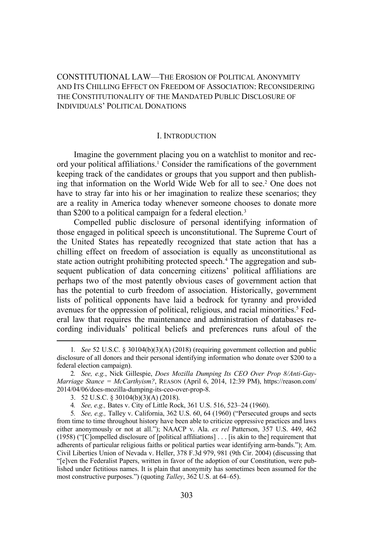CONSTITUTIONAL LAW—THE EROSION OF POLITICAL ANONYMITY AND ITS CHILLING EFFECT ON FREEDOM OF ASSOCIATION: RECONSIDERING THE CONSTITUTIONALITY OF THE MANDATED PUBLIC DISCLOSURE OF INDIVIDUALS' POLITICAL DONATIONS

#### I. INTRODUCTION

Imagine the government placing you on a watchlist to monitor and record your political affiliations.1 Consider the ramifications of the government keeping track of the candidates or groups that you support and then publishing that information on the World Wide Web for all to see.2 One does not have to stray far into his or her imagination to realize these scenarios; they are a reality in America today whenever someone chooses to donate more than \$200 to a political campaign for a federal election.<sup>3</sup>

Compelled public disclosure of personal identifying information of those engaged in political speech is unconstitutional. The Supreme Court of the United States has repeatedly recognized that state action that has a chilling effect on freedom of association is equally as unconstitutional as state action outright prohibiting protected speech.<sup>4</sup> The aggregation and subsequent publication of data concerning citizens' political affiliations are perhaps two of the most patently obvious cases of government action that has the potential to curb freedom of association. Historically, government lists of political opponents have laid a bedrock for tyranny and provided avenues for the oppression of political, religious, and racial minorities.<sup>5</sup> Federal law that requires the maintenance and administration of databases recording individuals' political beliefs and preferences runs afoul of the

<sup>1</sup>*. See* 52 U.S.C. § 30104(b)(3)(A) (2018) (requiring government collection and public disclosure of all donors and their personal identifying information who donate over \$200 to a federal election campaign).

<sup>2</sup>*. See, e.g.*, Nick Gillespie, *Does Mozilla Dumping Its CEO Over Prop 8/Anti-Gay-Marriage Stance = McCarthyism?*, REASON (April 6, 2014, 12:39 PM), https://reason.com/ 2014/04/06/does-mozilla-dumping-its-ceo-over-prop-8.

<sup>3. 52</sup> U.S.C. § 30104(b)(3)(A) (2018).

<sup>4</sup>*. See, e.g.,* Bates v. City of Little Rock, 361 U.S. 516, 523–24 (1960).

<sup>5</sup>*. See, e.g.,* Talley v. California, 362 U.S. 60, 64 (1960) ("Persecuted groups and sects from time to time throughout history have been able to criticize oppressive practices and laws either anonymously or not at all."); NAACP v. Ala. *ex rel* Patterson, 357 U.S. 449, 462 (1958) ("[C]ompelled disclosure of [political affiliations] . . . [is akin to the] requirement that adherents of particular religious faiths or political parties wear identifying arm-bands."); Am. Civil Liberties Union of Nevada v. Heller, 378 F.3d 979, 981 (9th Cir. 2004) (discussing that "[e]ven the Federalist Papers, written in favor of the adoption of our Constitution, were published under fictitious names. It is plain that anonymity has sometimes been assumed for the most constructive purposes.") (quoting *Talley*, 362 U.S. at 64–65).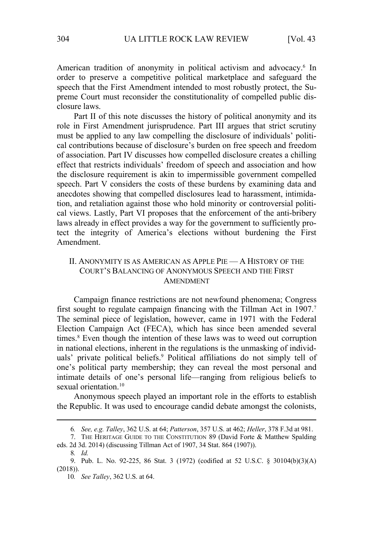American tradition of anonymity in political activism and advocacy.<sup>6</sup> In order to preserve a competitive political marketplace and safeguard the speech that the First Amendment intended to most robustly protect, the Supreme Court must reconsider the constitutionality of compelled public disclosure laws.

Part II of this note discusses the history of political anonymity and its role in First Amendment jurisprudence. Part III argues that strict scrutiny must be applied to any law compelling the disclosure of individuals' political contributions because of disclosure's burden on free speech and freedom of association. Part IV discusses how compelled disclosure creates a chilling effect that restricts individuals' freedom of speech and association and how the disclosure requirement is akin to impermissible government compelled speech. Part V considers the costs of these burdens by examining data and anecdotes showing that compelled disclosures lead to harassment, intimidation, and retaliation against those who hold minority or controversial political views. Lastly, Part VI proposes that the enforcement of the anti-bribery laws already in effect provides a way for the government to sufficiently protect the integrity of America's elections without burdening the First Amendment.

# II. ANONYMITY IS AS AMERICAN AS APPLE PIE — A HISTORY OF THE COURT'S BALANCING OF ANONYMOUS SPEECH AND THE FIRST AMENDMENT

Campaign finance restrictions are not newfound phenomena; Congress first sought to regulate campaign financing with the Tillman Act in 1907.<sup>7</sup> The seminal piece of legislation, however, came in 1971 with the Federal Election Campaign Act (FECA), which has since been amended several times.<sup>8</sup> Even though the intention of these laws was to weed out corruption in national elections, inherent in the regulations is the unmasking of individuals' private political beliefs.9 Political affiliations do not simply tell of one's political party membership; they can reveal the most personal and intimate details of one's personal life—ranging from religious beliefs to sexual orientation.<sup>10</sup>

Anonymous speech played an important role in the efforts to establish the Republic. It was used to encourage candid debate amongst the colonists,

<sup>6</sup>*. See, e.g. Talley*, 362 U.S. at 64; *Patterson*, 357 U.S. at 462; *Heller*, 378 F.3d at 981.

<sup>7.</sup> THE HERITAGE GUIDE TO THE CONSTITUTION 89 (David Forte & Matthew Spalding eds. 2d 3d. 2014) (discussing Tillman Act of 1907, 34 Stat. 864 (1907)).

<sup>8</sup>*. Id.*

<sup>9.</sup> Pub. L. No. 92-225, 86 Stat. 3 (1972) (codified at 52 U.S.C. § 30104(b)(3)(A) (2018)).

<sup>10</sup>*. See Talley*, 362 U.S. at 64.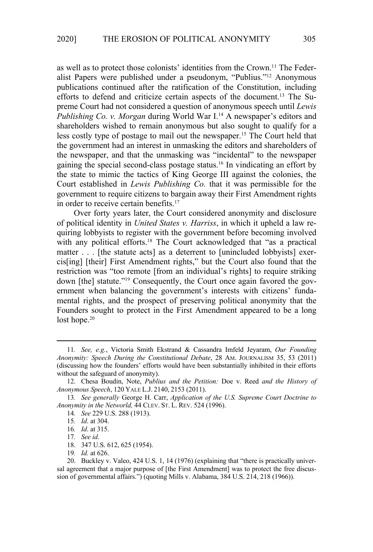as well as to protect those colonists' identities from the Crown.11 The Federalist Papers were published under a pseudonym, "Publius."12 Anonymous publications continued after the ratification of the Constitution, including efforts to defend and criticize certain aspects of the document.13 The Supreme Court had not considered a question of anonymous speech until *Lewis Publishing Co. v. Morgan during World War I.*<sup>14</sup> A newspaper's editors and shareholders wished to remain anonymous but also sought to qualify for a less costly type of postage to mail out the newspaper.15 The Court held that the government had an interest in unmasking the editors and shareholders of the newspaper, and that the unmasking was "incidental" to the newspaper gaining the special second-class postage status.16 In vindicating an effort by the state to mimic the tactics of King George III against the colonies, the Court established in *Lewis Publishing Co.* that it was permissible for the government to require citizens to bargain away their First Amendment rights in order to receive certain benefits.<sup>17</sup>

Over forty years later, the Court considered anonymity and disclosure of political identity in *United States v. Harriss*, in which it upheld a law requiring lobbyists to register with the government before becoming involved with any political efforts.<sup>18</sup> The Court acknowledged that "as a practical matter . . . [the statute acts] as a deterrent to [unincluded lobbyists] exercis[ing] [their] First Amendment rights," but the Court also found that the restriction was "too remote [from an individual's rights] to require striking down [the] statute."19 Consequently, the Court once again favored the government when balancing the government's interests with citizens' fundamental rights, and the prospect of preserving political anonymity that the Founders sought to protect in the First Amendment appeared to be a long lost hope.<sup>20</sup>

- 18. 347 U.S. 612, 625 (1954).
- 19*. Id.* at 626.

<sup>11</sup>*. See, e.g.*, Victoria Smith Ekstrand & Cassandra Imfeld Jeyaram, *Our Founding Anonymity: Speech During the Constitutional Debate*, 28 AM. JOURNALISM 35, 53 (2011) (discussing how the founders' efforts would have been substantially inhibited in their efforts without the safeguard of anonymity).

<sup>12.</sup> Chesa Boudin, Note, *Publius and the Petition:* Doe v. Reed *and the History of Anonymous Speech*, 120 YALE L.J. 2140, 2153 (2011).

<sup>13</sup>*. See generally* George H. Carr, *Application of the U.S. Supreme Court Doctrine to Anonymity in the Networld,* 44 CLEV. ST. L. REV. 524 (1996).

<sup>14</sup>*. See* 229 U.S. 288 (1913).

<sup>15</sup>*. Id*. at 304.

<sup>16</sup>*. Id*. at 315.

<sup>17</sup>*. See id*.

<sup>20.</sup> Buckley v. Valeo, 424 U.S. 1, 14 (1976) (explaining that "there is practically universal agreement that a major purpose of [the First Amendment] was to protect the free discussion of governmental affairs.") (quoting Mills v. Alabama, 384 U.S. 214, 218 (1966)).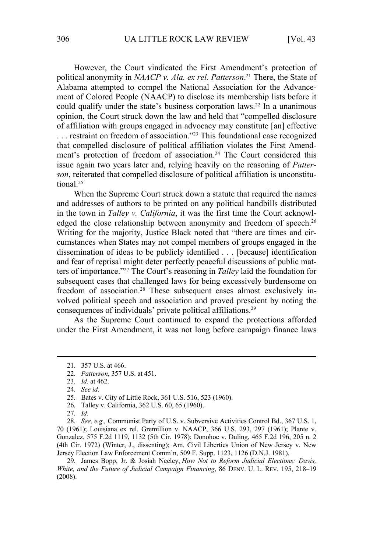However, the Court vindicated the First Amendment's protection of political anonymity in *NAACP v. Ala. ex rel. Patterson*. 21 There, the State of Alabama attempted to compel the National Association for the Advancement of Colored People (NAACP) to disclose its membership lists before it could qualify under the state's business corporation laws.<sup>22</sup> In a unanimous opinion, the Court struck down the law and held that "compelled disclosure of affiliation with groups engaged in advocacy may constitute [an] effective . . . restraint on freedom of association."23 This foundational case recognized that compelled disclosure of political affiliation violates the First Amendment's protection of freedom of association.<sup>24</sup> The Court considered this issue again two years later and, relying heavily on the reasoning of *Patterson*, reiterated that compelled disclosure of political affiliation is unconstitutional.25

When the Supreme Court struck down a statute that required the names and addresses of authors to be printed on any political handbills distributed in the town in *Talley v. California*, it was the first time the Court acknowledged the close relationship between anonymity and freedom of speech.<sup>26</sup> Writing for the majority, Justice Black noted that "there are times and circumstances when States may not compel members of groups engaged in the dissemination of ideas to be publicly identified . . . [because] identification and fear of reprisal might deter perfectly peaceful discussions of public matters of importance."27 The Court's reasoning in *Talley* laid the foundation for subsequent cases that challenged laws for being excessively burdensome on freedom of association.28 These subsequent cases almost exclusively involved political speech and association and proved prescient by noting the consequences of individuals' private political affiliations.<sup>29</sup>

As the Supreme Court continued to expand the protections afforded under the First Amendment, it was not long before campaign finance laws

<sup>21. 357</sup> U.S. at 466.

<sup>22</sup>*. Patterson*, 357 U.S. at 451.

<sup>23</sup>*. Id.* at 462.

<sup>24</sup>*. See id.*

<sup>25.</sup> Bates v. City of Little Rock, 361 U.S. 516, 523 (1960).

<sup>26.</sup> Talley v. California, 362 U.S. 60, 65 (1960).

<sup>27</sup>*. Id.*

<sup>28</sup>*. See, e.g.,* Communist Party of U.S. v. Subversive Activities Control Bd., 367 U.S. 1, 70 (1961); Louisiana ex rel. Gremillion v. NAACP, 366 U.S. 293, 297 (1961); Plante v. Gonzalez, 575 F.2d 1119, 1132 (5th Cir. 1978); Donohoe v. Duling, 465 F.2d 196, 205 n. 2 (4th Cir. 1972) (Winter, J., dissenting); Am. Civil Liberties Union of New Jersey v. New Jersey Election Law Enforcement Comm'n, 509 F. Supp. 1123, 1126 (D.N.J. 1981).

<sup>29.</sup> James Bopp, Jr. & Josiah Neeley, *How Not to Reform Judicial Elections: Davis, White, and the Future of Judicial Campaign Financing*, 86 DENV. U. L. REV. 195, 218–19 (2008).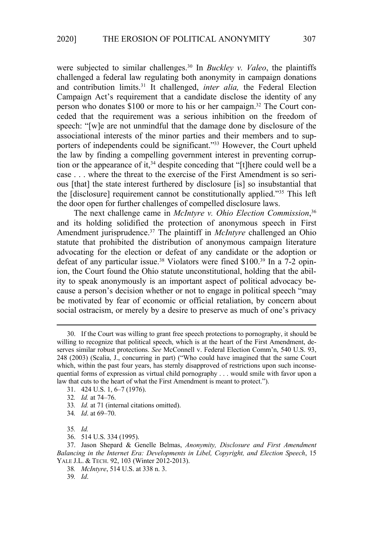were subjected to similar challenges.30 In *Buckley v. Valeo*, the plaintiffs challenged a federal law regulating both anonymity in campaign donations and contribution limits.31 It challenged, *inter alia,* the Federal Election Campaign Act's requirement that a candidate disclose the identity of any person who donates \$100 or more to his or her campaign.<sup>32</sup> The Court conceded that the requirement was a serious inhibition on the freedom of speech: "[w]e are not unmindful that the damage done by disclosure of the associational interests of the minor parties and their members and to supporters of independents could be significant."<sup>33</sup> However, the Court upheld the law by finding a compelling government interest in preventing corruption or the appearance of it,<sup>34</sup> despite conceding that "[t]here could well be a case . . . where the threat to the exercise of the First Amendment is so serious [that] the state interest furthered by disclosure [is] so insubstantial that the [disclosure] requirement cannot be constitutionally applied."35 This left the door open for further challenges of compelled disclosure laws.

The next challenge came in *McIntyre v. Ohio Election Commission*, 36 and its holding solidified the protection of anonymous speech in First Amendment jurisprudence.37 The plaintiff in *McIntyre* challenged an Ohio statute that prohibited the distribution of anonymous campaign literature advocating for the election or defeat of any candidate or the adoption or defeat of any particular issue.<sup>38</sup> Violators were fined \$100.<sup>39</sup> In a 7-2 opinion, the Court found the Ohio statute unconstitutional, holding that the ability to speak anonymously is an important aspect of political advocacy because a person's decision whether or not to engage in political speech "may be motivated by fear of economic or official retaliation, by concern about social ostracism, or merely by a desire to preserve as much of one's privacy

<sup>30.</sup> If the Court was willing to grant free speech protections to pornography, it should be willing to recognize that political speech, which is at the heart of the First Amendment, deserves similar robust protections. *See* McConnell v. Federal Election Comm'n, 540 U.S. 93, 248 (2003) (Scalia, J., concurring in part) ("Who could have imagined that the same Court which, within the past four years, has sternly disapproved of restrictions upon such inconsequential forms of expression as virtual child pornography . . . would smile with favor upon a law that cuts to the heart of what the First Amendment is meant to protect.").

<sup>31. 424</sup> U.S. 1, 6–7 (1976).

<sup>32</sup>*. Id.* at 74–76.

<sup>33</sup>*. Id.* at 71 (internal citations omitted).

<sup>34</sup>*. Id*. at 69–70.

<sup>35</sup>*. Id.*

<sup>36. 514</sup> U.S. 334 (1995).

<sup>37.</sup> Jason Shepard & Genelle Belmas, *Anonymity, Disclosure and First Amendment Balancing in the Internet Era: Developments in Libel, Copyright, and Election Speech*, 15 YALE J.L. & TECH. 92, 103 (Winter 2012-2013).

<sup>38</sup>*. McIntyre*, 514 U.S. at 338 n. 3.

<sup>39</sup>*. Id*.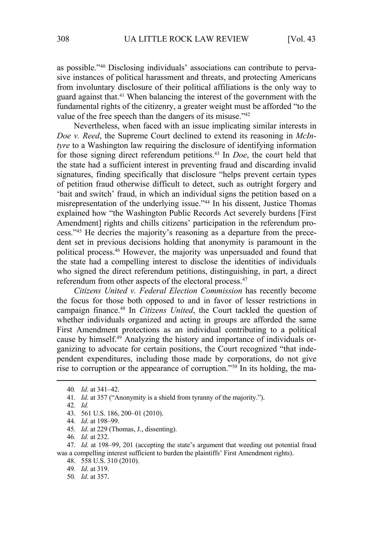as possible."40 Disclosing individuals' associations can contribute to pervasive instances of political harassment and threats, and protecting Americans from involuntary disclosure of their political affiliations is the only way to guard against that.<sup>41</sup> When balancing the interest of the government with the fundamental rights of the citizenry, a greater weight must be afforded "to the value of the free speech than the dangers of its misuse."<sup>42</sup>

Nevertheless, when faced with an issue implicating similar interests in *Doe v. Reed*, the Supreme Court declined to extend its reasoning in *McIntyre* to a Washington law requiring the disclosure of identifying information for those signing direct referendum petitions.43 In *Doe*, the court held that the state had a sufficient interest in preventing fraud and discarding invalid signatures, finding specifically that disclosure "helps prevent certain types of petition fraud otherwise difficult to detect, such as outright forgery and 'bait and switch' fraud, in which an individual signs the petition based on a misrepresentation of the underlying issue."44 In his dissent, Justice Thomas explained how "the Washington Public Records Act severely burdens [First Amendment] rights and chills citizens' participation in the referendum process."45 He decries the majority's reasoning as a departure from the precedent set in previous decisions holding that anonymity is paramount in the political process.46 However, the majority was unpersuaded and found that the state had a compelling interest to disclose the identities of individuals who signed the direct referendum petitions, distinguishing, in part, a direct referendum from other aspects of the electoral process.<sup>47</sup>

*Citizens United v. Federal Election Commission* has recently become the focus for those both opposed to and in favor of lesser restrictions in campaign finance.<sup>48</sup> In *Citizens United*, the Court tackled the question of whether individuals organized and acting in groups are afforded the same First Amendment protections as an individual contributing to a political cause by himself.49 Analyzing the history and importance of individuals organizing to advocate for certain positions, the Court recognized "that independent expenditures, including those made by corporations, do not give rise to corruption or the appearance of corruption."50 In its holding, the ma-

- 44*. Id*. at 198–99.
- 45*. Id*. at 229 (Thomas, J., dissenting).
- 46*. Id.* at 232.

47*. Id.* at 198–99, 201 (accepting the state's argument that weeding out potential fraud was a compelling interest sufficient to burden the plaintiffs' First Amendment rights).

48. 558 U.S. 310 (2010).

49*. Id*. at 319.

50*. Id*. at 357.

<sup>40</sup>*. Id*. at 341–42.

<sup>41</sup>*. Id*. at 357 ("Anonymity is a shield from tyranny of the majority.").

<sup>42</sup>*. Id.* 

<sup>43. 561</sup> U.S. 186, 200–01 (2010).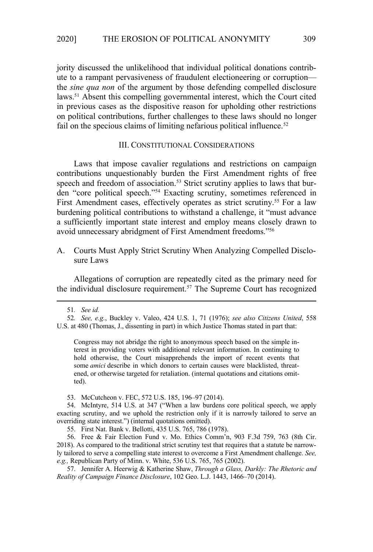jority discussed the unlikelihood that individual political donations contribute to a rampant pervasiveness of fraudulent electioneering or corruption the *sine qua non* of the argument by those defending compelled disclosure laws.<sup>51</sup> Absent this compelling governmental interest, which the Court cited in previous cases as the dispositive reason for upholding other restrictions on political contributions, further challenges to these laws should no longer fail on the specious claims of limiting nefarious political influence.<sup>52</sup>

### III. CONSTITUTIONAL CONSIDERATIONS

Laws that impose cavalier regulations and restrictions on campaign contributions unquestionably burden the First Amendment rights of free speech and freedom of association.<sup>53</sup> Strict scrutiny applies to laws that burden "core political speech."54 Exacting scrutiny, sometimes referenced in First Amendment cases, effectively operates as strict scrutiny.<sup>55</sup> For a law burdening political contributions to withstand a challenge, it "must advance a sufficiently important state interest and employ means closely drawn to avoid unnecessary abridgment of First Amendment freedoms."56

A. Courts Must Apply Strict Scrutiny When Analyzing Compelled Disclosure Laws

Allegations of corruption are repeatedly cited as the primary need for the individual disclosure requirement.57 The Supreme Court has recognized

53. McCutcheon v. FEC, 572 U.S. 185, 196–97 (2014).

55. First Nat. Bank v. Bellotti, 435 U.S. 765, 786 (1978).

56. Free & Fair Election Fund v. Mo. Ethics Comm'n, 903 F.3d 759, 763 (8th Cir. 2018). As compared to the traditional strict scrutiny test that requires that a statute be narrowly tailored to serve a compelling state interest to overcome a First Amendment challenge. *See, e.g.,* Republican Party of Minn. v. White, 536 U.S. 765, 765 (2002).

57. Jennifer A. Heerwig & Katherine Shaw, *Through a Glass, Darkly: The Rhetoric and Reality of Campaign Finance Disclosure*, 102 Geo. L.J. 1443, 1466–70 (2014).

<sup>51</sup>*. See id.*

<sup>52</sup>*. See, e.g.*, Buckley v. Valeo, 424 U.S. 1, 71 (1976); *see also Citizens United*, 558 U.S. at 480 (Thomas, J., dissenting in part) in which Justice Thomas stated in part that:

Congress may not abridge the right to anonymous speech based on the simple interest in providing voters with additional relevant information. In continuing to hold otherwise, the Court misapprehends the import of recent events that some *amici* describe in which donors to certain causes were blacklisted, threatened, or otherwise targeted for retaliation. (internal quotations and citations omitted).

<sup>54.</sup> McIntyre, 514 U.S. at 347 ("When a law burdens core political speech, we apply exacting scrutiny, and we uphold the restriction only if it is narrowly tailored to serve an overriding state interest.") (internal quotations omitted).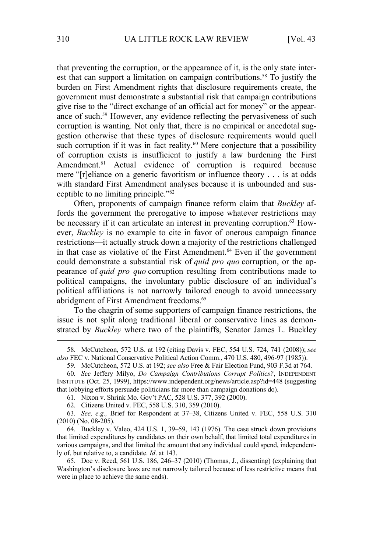that preventing the corruption, or the appearance of it, is the only state interest that can support a limitation on campaign contributions.<sup>58</sup> To justify the burden on First Amendment rights that disclosure requirements create, the government must demonstrate a substantial risk that campaign contributions give rise to the "direct exchange of an official act for money" or the appearance of such.<sup>59</sup> However, any evidence reflecting the pervasiveness of such corruption is wanting. Not only that, there is no empirical or anecdotal suggestion otherwise that these types of disclosure requirements would quell such corruption if it was in fact reality.<sup>60</sup> Mere conjecture that a possibility of corruption exists is insufficient to justify a law burdening the First Amendment.<sup>61</sup> Actual evidence of corruption is required because mere "[r]eliance on a generic favoritism or influence theory . . . is at odds with standard First Amendment analyses because it is unbounded and susceptible to no limiting principle."62

Often, proponents of campaign finance reform claim that *Buckley* affords the government the prerogative to impose whatever restrictions may be necessary if it can articulate an interest in preventing corruption.<sup>63</sup> However, *Buckley* is no example to cite in favor of onerous campaign finance restrictions—it actually struck down a majority of the restrictions challenged in that case as violative of the First Amendment.<sup>64</sup> Even if the government could demonstrate a substantial risk of *quid pro quo* corruption, or the appearance of *quid pro quo* corruption resulting from contributions made to political campaigns, the involuntary public disclosure of an individual's political affiliations is not narrowly tailored enough to avoid unnecessary abridgment of First Amendment freedoms.<sup>65</sup>

To the chagrin of some supporters of campaign finance restrictions, the issue is not split along traditional liberal or conservative lines as demonstrated by *Buckley* where two of the plaintiffs, Senator James L. Buckley

64. Buckley v. Valeo, 424 U.S. 1, 39–59, 143 (1976). The case struck down provisions that limited expenditures by candidates on their own behalf, that limited total expenditures in various campaigns, and that limited the amount that any individual could spend, independently of, but relative to, a candidate. *Id*. at 143.

65. Doe v. Reed, 561 U.S. 186, 246–37 (2010) (Thomas, J., dissenting) (explaining that Washington's disclosure laws are not narrowly tailored because of less restrictive means that were in place to achieve the same ends).

<sup>58.</sup> McCutcheon, 572 U.S. at 192 (citing Davis v. FEC, 554 U.S. 724, 741 (2008)); *see also* FEC v. National Conservative Political Action Comm., 470 U.S. 480, 496-97 (1985)).

<sup>59.</sup> McCutcheon, 572 U.S. at 192; *see also* Free & Fair Election Fund, 903 F.3d at 764.

<sup>60</sup>*. See* Jeffery Milyo, *Do Campaign Contributions Corrupt Politics?*, INDEPENDENT INSTITUTE (Oct. 25, 1999), https://www.independent.org/news/article.asp?id=448 (suggesting that lobbying efforts persuade politicians far more than campaign donations do).

<sup>61.</sup> Nixon v. Shrink Mo. Gov't PAC, 528 U.S. 377, 392 (2000).

<sup>62.</sup> Citizens United v. FEC, 558 U.S. 310, 359 (2010).

<sup>63</sup>*. See, e.g.,* Brief for Respondent at 37–38, Citizens United v. FEC, 558 U.S. 310 (2010) (No. 08-205).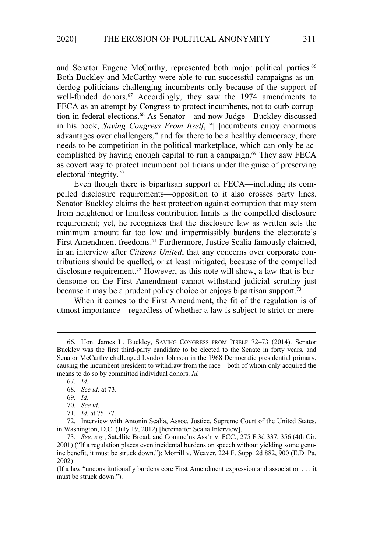and Senator Eugene McCarthy, represented both major political parties.<sup>66</sup> Both Buckley and McCarthy were able to run successful campaigns as underdog politicians challenging incumbents only because of the support of well-funded donors.<sup>67</sup> Accordingly, they saw the 1974 amendments to FECA as an attempt by Congress to protect incumbents, not to curb corruption in federal elections.68 As Senator—and now Judge—Buckley discussed in his book, *Saving Congress From Itself*, "[i]ncumbents enjoy enormous advantages over challengers," and for there to be a healthy democracy, there needs to be competition in the political marketplace, which can only be accomplished by having enough capital to run a campaign.<sup>69</sup> They saw FECA as covert way to protect incumbent politicians under the guise of preserving electoral integrity.70

Even though there is bipartisan support of FECA—including its compelled disclosure requirements—opposition to it also crosses party lines. Senator Buckley claims the best protection against corruption that may stem from heightened or limitless contribution limits is the compelled disclosure requirement; yet, he recognizes that the disclosure law as written sets the minimum amount far too low and impermissibly burdens the electorate's First Amendment freedoms.<sup>71</sup> Furthermore, Justice Scalia famously claimed, in an interview after *Citizens United*, that any concerns over corporate contributions should be quelled, or at least mitigated, because of the compelled disclosure requirement.<sup>72</sup> However, as this note will show, a law that is burdensome on the First Amendment cannot withstand judicial scrutiny just because it may be a prudent policy choice or enjoys bipartisan support.<sup>73</sup>

When it comes to the First Amendment, the fit of the regulation is of utmost importance—regardless of whether a law is subject to strict or mere-

<sup>66.</sup> Hon. James L. Buckley, SAVING CONGRESS FROM ITSELF 72–73 (2014). Senator Buckley was the first third-party candidate to be elected to the Senate in forty years, and Senator McCarthy challenged Lyndon Johnson in the 1968 Democratic presidential primary, causing the incumbent president to withdraw from the race—both of whom only acquired the means to do so by committed individual donors. *Id.*

<sup>67</sup>*. Id*.

<sup>68</sup>*. See id*. at 73.

<sup>69</sup>*. Id*.

<sup>70</sup>*. See id*.

<sup>71</sup>*. Id*. at 75–77.

<sup>72.</sup> Interview with Antonin Scalia, Assoc. Justice, Supreme Court of the United States, in Washington, D.C. (July 19, 2012) [hereinafter Scalia Interview].

<sup>73</sup>*. See, e.g.*, Satellite Broad. and Commc'ns Ass'n v. FCC., 275 F.3d 337, 356 (4th Cir. 2001) ("If a regulation places even incidental burdens on speech without yielding some genuine benefit, it must be struck down."); Morrill v. Weaver, 224 F. Supp. 2d 882, 900 (E.D. Pa. 2002)

<sup>(</sup>If a law "unconstitutionally burdens core First Amendment expression and association . . . it must be struck down.").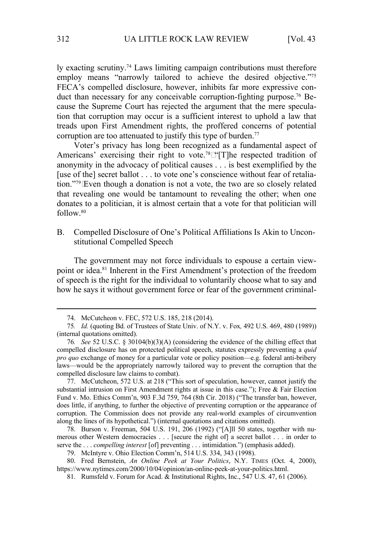ly exacting scrutiny.74 Laws limiting campaign contributions must therefore employ means "narrowly tailored to achieve the desired objective."<sup>75</sup> FECA's compelled disclosure, however, inhibits far more expressive conduct than necessary for any conceivable corruption-fighting purpose.<sup>76</sup> Because the Supreme Court has rejected the argument that the mere speculation that corruption may occur is a sufficient interest to uphold a law that treads upon First Amendment rights, the proffered concerns of potential corruption are too attenuated to justify this type of burden. $77$ 

Voter's privacy has long been recognized as a fundamental aspect of Americans' exercising their right to vote.<sup>78</sup>k"[T]he respected tradition of anonymity in the advocacy of political causes . . . is best exemplified by the [use of the] secret ballot . . . to vote one's conscience without fear of retaliation."<sup>79</sup>*/Even though a donation is not a vote, the two are so closely related* that revealing one would be tantamount to revealing the other; when one donates to a politician, it is almost certain that a vote for that politician will follow.80

B. Compelled Disclosure of One's Political Affiliations Is Akin to Unconstitutional Compelled Speech

The government may not force individuals to espouse a certain viewpoint or idea.<sup>81</sup> Inherent in the First Amendment's protection of the freedom of speech is the right for the individual to voluntarily choose what to say and how he says it without government force or fear of the government criminal-

77. McCutcheon, 572 U.S. at 218 ("This sort of speculation, however, cannot justify the substantial intrusion on First Amendment rights at issue in this case."); Free & Fair Election Fund v. Mo. Ethics Comm'n, 903 F.3d 759, 764 (8th Cir. 2018) ("The transfer ban, however, does little, if anything, to further the objective of preventing corruption or the appearance of corruption. The Commission does not provide any real-world examples of circumvention along the lines of its hypothetical.") (internal quotations and citations omitted).

78. Burson v. Freeman, 504 U.S. 191, 206 (1992) ("[A]ll 50 states, together with numerous other Western democracies . . . [secure the right of] a secret ballot . . . in order to serve the . . . *compelling interest* [of] preventing . . . intimidation.") (emphasis added).

79. McIntyre v. Ohio Election Comm'n, 514 U.S. 334, 343 (1998).

80. Fred Bernstein, *An Online Peek at Your Politics*, N.Y. TIMES (Oct. 4, 2000), https://www.nytimes.com/2000/10/04/opinion/an-online-peek-at-your-politics.html.

81. Rumsfeld v. Forum for Acad. & Institutional Rights, Inc., 547 U.S. 47, 61 (2006).

<sup>74.</sup> McCutcheon v. FEC, 572 U.S. 185, 218 (2014).

<sup>75</sup>*. Id.* (quoting Bd. of Trustees of State Univ. of N.Y. v. Fox*,* 492 U.S. 469, 480 (1989)) (internal quotations omitted).

<sup>76</sup>*. See* 52 U.S.C. § 30104(b)(3)(A) (considering the evidence of the chilling effect that compelled disclosure has on protected political speech, statutes expressly preventing a *quid pro quo* exchange of money for a particular vote or policy position—e.g. federal anti-bribery laws—would be the appropriately narrowly tailored way to prevent the corruption that the compelled disclosure law claims to combat).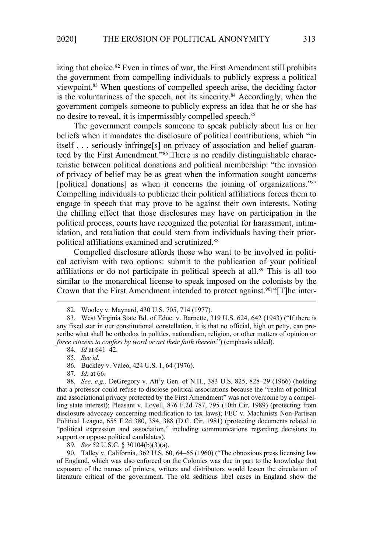izing that choice. $82$  Even in times of war, the First Amendment still prohibits the government from compelling individuals to publicly express a political viewpoint.83 When questions of compelled speech arise, the deciding factor is the voluntariness of the speech, not its sincerity.<sup>84</sup> Accordingly, when the government compels someone to publicly express an idea that he or she has no desire to reveal, it is impermissibly compelled speech.<sup>85</sup>

The government compels someone to speak publicly about his or her beliefs when it mandates the disclosure of political contributions, which "in itself . . . seriously infringe[s] on privacy of association and belief guaranteed by the First Amendment."<sup>86</sup> *k*There is no readily distinguishable characteristic between political donations and political membership: "the invasion of privacy of belief may be as great when the information sought concerns [political donations] as when it concerns the joining of organizations."<sup>87</sup> Compelling individuals to publicize their political affiliations forces them to engage in speech that may prove to be against their own interests. Noting the chilling effect that those disclosures may have on participation in the political process, courts have recognized the potential for harassment, intimidation, and retaliation that could stem from individuals having their priorpolitical affiliations examined and scrutinized.88

Compelled disclosure affords those who want to be involved in political activism with two options: submit to the publication of your political affiliations or do not participate in political speech at all.<sup>89</sup> This is all too similar to the monarchical license to speak imposed on the colonists by the Crown that the First Amendment intended to protect against.<sup>90</sup>*k*<sup>\*</sup>[T]he inter-

88*. See, e.g.,* DeGregory v. Att'y Gen. of N.H., 383 U.S. 825, 828–29 (1966) (holding that a professor could refuse to disclose political associations because the "realm of political and associational privacy protected by the First Amendment" was not overcome by a compelling state interest); Pleasant v. Lovell, 876 F.2d 787, 795 (10th Cir. 1989) (protecting from disclosure advocacy concerning modification to tax laws); FEC v. Machinists Non-Partisan Political League, 655 F.2d 380, 384, 388 (D.C. Cir. 1981) (protecting documents related to "political expression and association," including communications regarding decisions to support or oppose political candidates).

89*. See* 52 U.S.C. § 30104(b)(3)(a).

90. Talley v. California, 362 U.S. 60, 64–65 (1960) ("The obnoxious press licensing law of England, which was also enforced on the Colonies was due in part to the knowledge that exposure of the names of printers, writers and distributors would lessen the circulation of literature critical of the government. The old seditious libel cases in England show the

<sup>82.</sup> Wooley v. Maynard, 430 U.S. 705, 714 (1977).

<sup>83.</sup> West Virginia State Bd. of Educ. v. Barnette, 319 U.S. 624, 642 (1943) ("If there is any fixed star in our constitutional constellation, it is that no official, high or petty, can prescribe what shall be orthodox in politics, nationalism, religion, or other matters of opinion o*r force citizens to confess by word or act their faith therein*.") (emphasis added).

<sup>84</sup>*. Id* at 641–42.

<sup>85</sup>*. See id*.

<sup>86.</sup> Buckley v. Valeo, 424 U.S. 1, 64 (1976).

<sup>87</sup>*. Id*. at 66.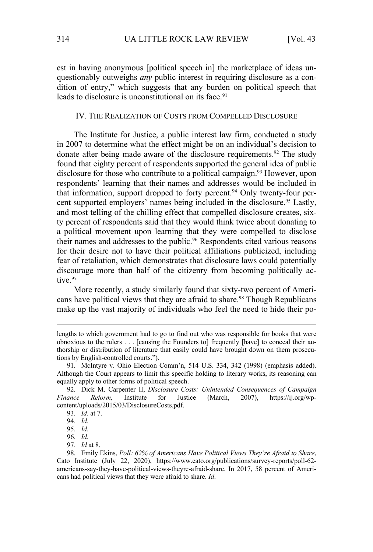est in having anonymous [political speech in] the marketplace of ideas unquestionably outweighs *any* public interest in requiring disclosure as a condition of entry," which suggests that any burden on political speech that leads to disclosure is unconstitutional on its face.<sup>91</sup>

#### IV. THE REALIZATION OF COSTS FROM COMPELLED DISCLOSURE

The Institute for Justice, a public interest law firm, conducted a study in 2007 to determine what the effect might be on an individual's decision to donate after being made aware of the disclosure requirements.<sup>92</sup> The study found that eighty percent of respondents supported the general idea of public disclosure for those who contribute to a political campaign.<sup>93</sup> However, upon respondents' learning that their names and addresses would be included in that information, support dropped to forty percent.<sup>94</sup> Only twenty-four percent supported employers' names being included in the disclosure.<sup>95</sup> Lastly, and most telling of the chilling effect that compelled disclosure creates, sixty percent of respondents said that they would think twice about donating to a political movement upon learning that they were compelled to disclose their names and addresses to the public.<sup>96</sup> Respondents cited various reasons for their desire not to have their political affiliations publicized, including fear of retaliation, which demonstrates that disclosure laws could potentially discourage more than half of the citizenry from becoming politically active.<sup>97</sup>

More recently, a study similarly found that sixty-two percent of Americans have political views that they are afraid to share.<sup>98</sup> Though Republicans make up the vast majority of individuals who feel the need to hide their po-

lengths to which government had to go to find out who was responsible for books that were obnoxious to the rulers . . . [causing the Founders to] frequently [have] to conceal their authorship or distribution of literature that easily could have brought down on them prosecutions by English-controlled courts.").

<sup>91.</sup> McIntyre v. Ohio Election Comm'n, 514 U.S. 334, 342 (1998) (emphasis added). Although the Court appears to limit this specific holding to literary works, its reasoning can equally apply to other forms of political speech.

<sup>92.</sup> Dick M. Carpenter II, *Disclosure Costs: Unintended Consequences of Campaign Finance Reform,* Institute for Justice (March, 2007), https://ij.org/wpcontent/uploads/2015/03/DisclosureCosts.pdf.

<sup>93</sup>*. Id*. at 7.

<sup>94</sup>*. Id*.

<sup>95</sup>*. Id*.

<sup>96</sup>*. Id*.

<sup>97</sup>*. Id* at 8.

<sup>98.</sup> Emily Ekins, *Poll: 62% of Americans Have Political Views They're Afraid to Share*, Cato Institute (July 22, 2020), https://www.cato.org/publications/survey-reports/poll-62 americans-say-they-have-political-views-theyre-afraid-share. In 2017, 58 percent of Americans had political views that they were afraid to share. *Id*.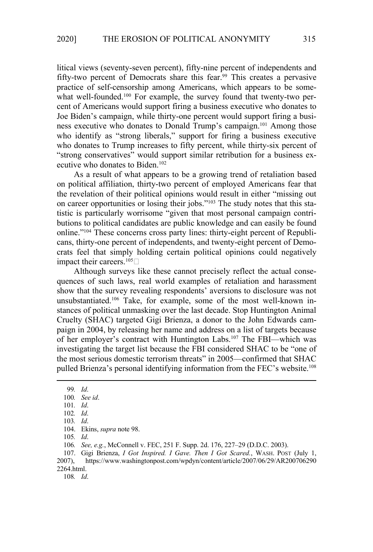litical views (seventy-seven percent), fifty-nine percent of independents and fifty-two percent of Democrats share this fear.<sup>99</sup> This creates a pervasive practice of self-censorship among Americans, which appears to be somewhat well-founded.<sup>100</sup> For example, the survey found that twenty-two percent of Americans would support firing a business executive who donates to Joe Biden's campaign, while thirty-one percent would support firing a business executive who donates to Donald Trump's campaign.<sup>101</sup> Among those who identify as "strong liberals," support for firing a business executive who donates to Trump increases to fifty percent, while thirty-six percent of "strong conservatives" would support similar retribution for a business executive who donates to Biden.102

As a result of what appears to be a growing trend of retaliation based on political affiliation, thirty-two percent of employed Americans fear that the revelation of their political opinions would result in either "missing out on career opportunities or losing their jobs."103 The study notes that this statistic is particularly worrisome "given that most personal campaign contributions to political candidates are public knowledge and can easily be found online."104 These concerns cross party lines: thirty-eight percent of Republicans, thirty-one percent of independents, and twenty-eight percent of Democrats feel that simply holding certain political opinions could negatively impact their careers.<sup>105</sup>*k* 

Although surveys like these cannot precisely reflect the actual consequences of such laws, real world examples of retaliation and harassment show that the survey revealing respondents' aversions to disclosure was not unsubstantiated.106 Take, for example, some of the most well-known instances of political unmasking over the last decade. Stop Huntington Animal Cruelty (SHAC) targeted Gigi Brienza, a donor to the John Edwards campaign in 2004, by releasing her name and address on a list of targets because of her employer's contract with Huntington Labs.107 The FBI—which was investigating the target list because the FBI considered SHAC to be "one of the most serious domestic terrorism threats" in 2005—confirmed that SHAC pulled Brienza's personal identifying information from the FEC's website.<sup>108</sup>

104. Ekins, *supra* note 98.

105*. Id*.

106*. See, e.g.*, McConnell v. FEC, 251 F. Supp. 2d. 176, 227–29 (D.D.C. 2003).

107. Gigi Brienza, *I Got Inspired. I Gave. Then I Got Scared.*, WASH. POST (July 1, 2007), https://www.washingtonpost.com/wpdyn/content/article/2007/06/29/AR200706290

2264.html.

108*. Id*.

<sup>99</sup>*. Id*.

<sup>100</sup>*. See id*.

<sup>101</sup>*. Id*.

<sup>102</sup>*. Id*.

<sup>103</sup>*. Id*.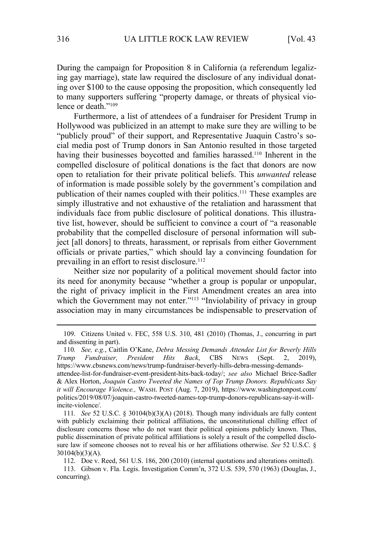During the campaign for Proposition 8 in California (a referendum legalizing gay marriage), state law required the disclosure of any individual donating over \$100 to the cause opposing the proposition, which consequently led to many supporters suffering "property damage, or threats of physical violence or death."109

Furthermore, a list of attendees of a fundraiser for President Trump in Hollywood was publicized in an attempt to make sure they are willing to be "publicly proud" of their support, and Representative Juaquin Castro's social media post of Trump donors in San Antonio resulted in those targeted having their businesses boycotted and families harassed.<sup>110</sup> Inherent in the compelled disclosure of political donations is the fact that donors are now open to retaliation for their private political beliefs. This *unwanted* release of information is made possible solely by the government's compilation and publication of their names coupled with their politics.<sup>111</sup> These examples are simply illustrative and not exhaustive of the retaliation and harassment that individuals face from public disclosure of political donations. This illustrative list, however, should be sufficient to convince a court of "a reasonable probability that the compelled disclosure of personal information will subject [all donors] to threats, harassment, or reprisals from either Government officials or private parties," which should lay a convincing foundation for prevailing in an effort to resist disclosure.<sup>112</sup>

Neither size nor popularity of a political movement should factor into its need for anonymity because "whether a group is popular or unpopular, the right of privacy implicit in the First Amendment creates an area into which the Government may not enter."<sup>113</sup> "Inviolability of privacy in group association may in many circumstances be indispensable to preservation of

<sup>109.</sup> Citizens United v. FEC, 558 U.S. 310, 481 (2010) (Thomas, J., concurring in part and dissenting in part).

<sup>110</sup>*. See, e.g.*, Caitlin O'Kane, *Debra Messing Demands Attendee List for Beverly Hills Trump Fundraiser, President Hits Back*, CBS NEWS (Sept. 2, 2019), https://www.cbsnews.com/news/trump-fundraiser-beverly-hills-debra-messing-demandsattendee-list-for-fundraiser-event-president-hits-back-today/; *see also* Michael Brice-Sadler & Alex Horton, *Joaquin Castro Tweeted the Names of Top Trump Donors. Republicans Say it will Encourage Violence.,* WASH. POST (Aug. 7, 2019), https://www.washingtonpost.com/ politics/2019/08/07/joaquin-castro-tweeted-names-top-trump-donors-republicans-say-it-willincite-violence/.

<sup>111</sup>*. See* 52 U.S.C. § 30104(b)(3)(A) (2018). Though many individuals are fully content with publicly exclaiming their political affiliations, the unconstitutional chilling effect of disclosure concerns those who do not want their political opinions publicly known. Thus, public dissemination of private political affiliations is solely a result of the compelled disclosure law if someone chooses not to reveal his or her affiliations otherwise. *See* 52 U.S.C. § 30104(b)(3)(A).

<sup>112.</sup> Doe v. Reed, 561 U.S. 186, 200 (2010) (internal quotations and alterations omitted).

<sup>113.</sup> Gibson v. Fla. Legis. Investigation Comm'n, 372 U.S. 539, 570 (1963) (Douglas, J., concurring).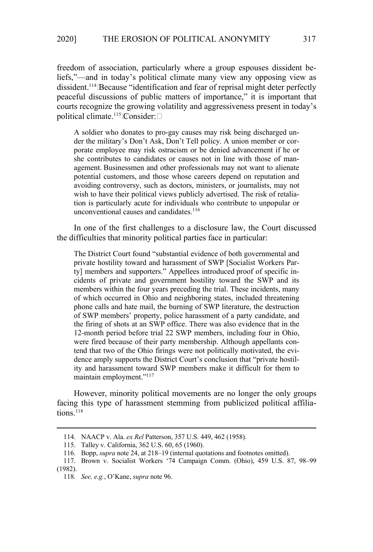freedom of association, particularly where a group espouses dissident beliefs,"—and in today's political climate many view any opposing view as dissident.<sup>114</sup>/Because "identification and fear of reprisal might deter perfectly peaceful discussions of public matters of importance," it is important that courts recognize the growing volatility and aggressiveness present in today's political climate.<sup>115</sup>*l*Consider:*k* 

A soldier who donates to pro-gay causes may risk being discharged under the military's Don't Ask, Don't Tell policy. A union member or corporate employee may risk ostracism or be denied advancement if he or she contributes to candidates or causes not in line with those of management. Businessmen and other professionals may not want to alienate potential customers, and those whose careers depend on reputation and avoiding controversy, such as doctors, ministers, or journalists, may not wish to have their political views publicly advertised. The risk of retaliation is particularly acute for individuals who contribute to unpopular or unconventional causes and candidates. $116$ 

In one of the first challenges to a disclosure law, the Court discussed the difficulties that minority political parties face in particular:

The District Court found "substantial evidence of both governmental and private hostility toward and harassment of SWP [Socialist Workers Party] members and supporters." Appellees introduced proof of specific incidents of private and government hostility toward the SWP and its members within the four years preceding the trial. These incidents, many of which occurred in Ohio and neighboring states, included threatening phone calls and hate mail, the burning of SWP literature, the destruction of SWP members' property, police harassment of a party candidate, and the firing of shots at an SWP office. There was also evidence that in the 12-month period before trial 22 SWP members, including four in Ohio, were fired because of their party membership. Although appellants contend that two of the Ohio firings were not politically motivated, the evidence amply supports the District Court's conclusion that "private hostility and harassment toward SWP members make it difficult for them to maintain employment."117

However, minority political movements are no longer the only groups facing this type of harassment stemming from publicized political affiliations.<sup>118</sup>

<sup>114.</sup> NAACP v. Ala. *ex Rel* Patterson, 357 U.S. 449, 462 (1958).

<sup>115.</sup> Talley v. California, 362 U.S. 60, 65 (1960).

<sup>116.</sup> Bopp, *supra* note 24, at 218–19 (internal quotations and footnotes omitted).

<sup>117.</sup> Brown v. Socialist Workers '74 Campaign Comm. (Ohio), 459 U.S. 87, 98–99 (1982).

<sup>118</sup>*. See, e.g.*, O'Kane, *supra* note 96.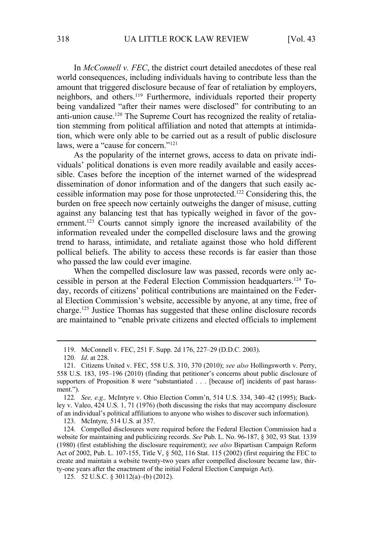In *McConnell v. FEC*, the district court detailed anecdotes of these real world consequences, including individuals having to contribute less than the amount that triggered disclosure because of fear of retaliation by employers, neighbors, and others.119 Furthermore, individuals reported their property being vandalized "after their names were disclosed" for contributing to an anti-union cause.<sup>120</sup> The Supreme Court has recognized the reality of retaliation stemming from political affiliation and noted that attempts at intimidation, which were only able to be carried out as a result of public disclosure laws, were a "cause for concern."<sup>121</sup>

As the popularity of the internet grows, access to data on private individuals' political donations is even more readily available and easily accessible. Cases before the inception of the internet warned of the widespread dissemination of donor information and of the dangers that such easily accessible information may pose for those unprotected.122 Considering this, the burden on free speech now certainly outweighs the danger of misuse, cutting against any balancing test that has typically weighed in favor of the government.<sup>123</sup> Courts cannot simply ignore the increased availability of the information revealed under the compelled disclosure laws and the growing trend to harass, intimidate, and retaliate against those who hold different pollical beliefs. The ability to access these records is far easier than those who passed the law could ever imagine.

When the compelled disclosure law was passed, records were only accessible in person at the Federal Election Commission headquarters.124 Today, records of citizens' political contributions are maintained on the Federal Election Commission's website, accessible by anyone, at any time, free of charge.125 Justice Thomas has suggested that these online disclosure records are maintained to "enable private citizens and elected officials to implement

123. McIntyre*,* 514 U.S. at 357.

124. Compelled disclosures were required before the Federal Election Commission had a website for maintaining and publicizing records. *See* Pub. L. No. 96-187, § 302, 93 Stat. 1339 (1980) (first establishing the disclosure requirement); *see also* Bipartisan Campaign Reform Act of 2002, Pub. L. 107-155, Title V, § 502, 116 Stat. 115 (2002) (first requiring the FEC to create and maintain a website twenty-two years after compelled disclosure became law, thirty-one years after the enactment of the initial Federal Election Campaign Act).

125. 52 U.S.C. § 30112(a)–(b) (2012).

<sup>119.</sup> McConnell v. FEC, 251 F. Supp. 2d 176, 227–29 (D.D.C. 2003).

<sup>120</sup>*. Id*. at 228.

<sup>121.</sup> Citizens United v. FEC, 558 U.S. 310, 370 (2010); *see also* Hollingsworth v. Perry, 558 U.S. 183, 195–196 (2010) (finding that petitioner's concerns about public disclosure of supporters of Proposition 8 were "substantiated . . . [because of] incidents of past harassment.").

<sup>122</sup>*. See, e.g.,* McIntyre v. Ohio Election Comm'n, 514 U.S. 334, 340–42 (1995); Buckley v. Valeo, 424 U.S. 1, 71 (1976) (both discussing the risks that may accompany disclosure of an individual's political affiliations to anyone who wishes to discover such information).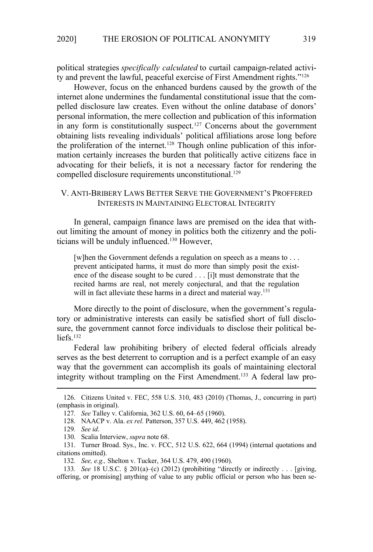political strategies *specifically calculated* to curtail campaign-related activity and prevent the lawful, peaceful exercise of First Amendment rights."126

However, focus on the enhanced burdens caused by the growth of the internet alone undermines the fundamental constitutional issue that the compelled disclosure law creates. Even without the online database of donors' personal information, the mere collection and publication of this information in any form is constitutionally suspect.<sup>127</sup> Concerns about the government obtaining lists revealing individuals' political affiliations arose long before the proliferation of the internet.<sup>128</sup> Though online publication of this information certainly increases the burden that politically active citizens face in advocating for their beliefs, it is not a necessary factor for rendering the compelled disclosure requirements unconstitutional.<sup>129</sup>

# V. ANTI-BRIBERY LAWS BETTER SERVE THE GOVERNMENT'S PROFFERED INTERESTS IN MAINTAINING ELECTORAL INTEGRITY

In general, campaign finance laws are premised on the idea that without limiting the amount of money in politics both the citizenry and the politicians will be unduly influenced.<sup>130</sup> However,

[w]hen the Government defends a regulation on speech as a means to . . . prevent anticipated harms, it must do more than simply posit the existence of the disease sought to be cured . . . [i]t must demonstrate that the recited harms are real, not merely conjectural, and that the regulation will in fact alleviate these harms in a direct and material way.<sup>131</sup>

More directly to the point of disclosure, when the government's regulatory or administrative interests can easily be satisfied short of full disclosure, the government cannot force individuals to disclose their political beliefs.<sup>132</sup>

Federal law prohibiting bribery of elected federal officials already serves as the best deterrent to corruption and is a perfect example of an easy way that the government can accomplish its goals of maintaining electoral integrity without trampling on the First Amendment.133 A federal law pro-

<sup>126.</sup> Citizens United v. FEC, 558 U.S. 310, 483 (2010) (Thomas, J., concurring in part) (emphasis in original).

<sup>127</sup>*. See* Talley v. California, 362 U.S. 60, 64–65 (1960).

<sup>128.</sup> NAACP v. Ala. *ex rel.* Patterson, 357 U.S. 449, 462 (1958).

<sup>129</sup>*. See id*.

<sup>130.</sup> Scalia Interview, *supra* note 68.

<sup>131.</sup> Turner Broad. Sys., Inc. v. FCC, 512 U.S. 622, 664 (1994) (internal quotations and citations omitted).

<sup>132</sup>*. See, e.g.,* Shelton v. Tucker, 364 U.S. 479, 490 (1960).

<sup>133</sup>*. See* 18 U.S.C. § 201(a)–(c) (2012) (prohibiting "directly or indirectly . . . [giving, offering, or promising] anything of value to any public official or person who has been se-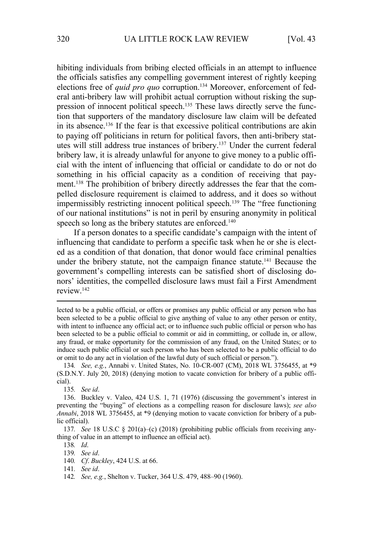hibiting individuals from bribing elected officials in an attempt to influence the officials satisfies any compelling government interest of rightly keeping elections free of *quid pro quo* corruption.<sup>134</sup> Moreover, enforcement of federal anti-bribery law will prohibit actual corruption without risking the suppression of innocent political speech.<sup>135</sup> These laws directly serve the function that supporters of the mandatory disclosure law claim will be defeated in its absence.136 If the fear is that excessive political contributions are akin to paying off politicians in return for political favors, then anti-bribery statutes will still address true instances of bribery.137 Under the current federal bribery law, it is already unlawful for anyone to give money to a public official with the intent of influencing that official or candidate to do or not do something in his official capacity as a condition of receiving that payment.138 The prohibition of bribery directly addresses the fear that the compelled disclosure requirement is claimed to address, and it does so without impermissibly restricting innocent political speech.139 The "free functioning of our national institutions" is not in peril by ensuring anonymity in political speech so long as the bribery statutes are enforced.<sup>140</sup>

If a person donates to a specific candidate's campaign with the intent of influencing that candidate to perform a specific task when he or she is elected as a condition of that donation, that donor would face criminal penalties under the bribery statute, not the campaign finance statute.<sup>141</sup> Because the government's compelling interests can be satisfied short of disclosing donors' identities, the compelled disclosure laws must fail a First Amendment review.142

135*. See id*.

138*. Id*.

139*. See id*.

140*. Cf*. *Buckley*, 424 U.S. at 66.

141*. See id*.

lected to be a public official, or offers or promises any public official or any person who has been selected to be a public official to give anything of value to any other person or entity, with intent to influence any official act; or to influence such public official or person who has been selected to be a public official to commit or aid in committing, or collude in, or allow, any fraud, or make opportunity for the commission of any fraud, on the United States; or to induce such public official or such person who has been selected to be a public official to do or omit to do any act in violation of the lawful duty of such official or person.").

<sup>134</sup>*. See, e.g.*, Annabi v. United States, No. 10-CR-007 (CM), 2018 WL 3756455, at \*9 (S.D.N.Y. July 20, 2018) (denying motion to vacate conviction for bribery of a public official).

<sup>136.</sup> Buckley v. Valeo, 424 U.S. 1, 71 (1976) (discussing the government's interest in preventing the "buying" of elections as a compelling reason for disclosure laws); *see also Annabi*, 2018 WL 3756455, at \*9 (denying motion to vacate conviction for bribery of a public official).

<sup>137</sup>*. See* 18 U.S.C § 201(a)–(c) (2018) (prohibiting public officials from receiving anything of value in an attempt to influence an official act).

<sup>142</sup>*. See, e.g.*, Shelton v. Tucker, 364 U.S. 479, 488–90 (1960).